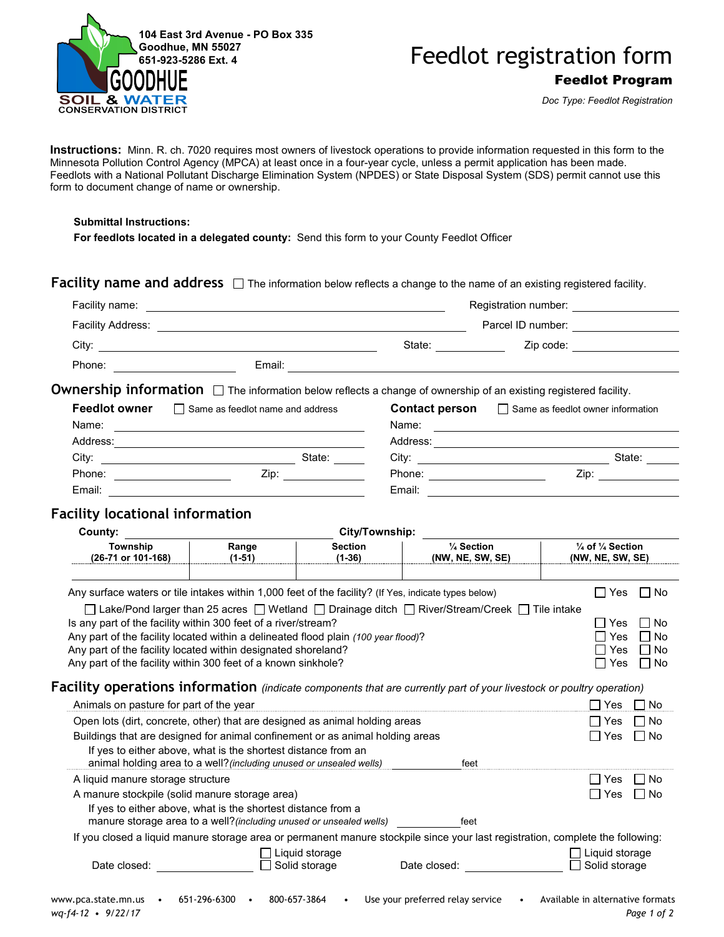



*Doc Type: Feedlot Registration*

**Instructions:** Minn. R. ch. 7020 requires most owners of livestock operations to provide information requested in this form to the Minnesota Pollution Control Agency (MPCA) at least once in a four-year cycle, unless a permit application has been made. Feedlots with a National Pollutant Discharge Elimination System (NPDES) or State Disposal System (SDS) permit cannot use this form to document change of name or ownership.

## **Submittal Instructions:**

**For feedlots located in a delegated county:** Send this form to your County Feedlot Officer

**Facility name and address**  $\Box$  The information below reflects a change to the name of an existing registered facility.

| Facility name:           |        |        | Registration number: |  |
|--------------------------|--------|--------|----------------------|--|
| <b>Facility Address:</b> |        |        | Parcel ID number:    |  |
| City:                    |        | State: | Zip code:            |  |
| Phone:                   | Email: |        |                      |  |
|                          |        |        |                      |  |

**Ownership information** □ The information below reflects a change of ownership of an existing registered facility.

| <b>Feedlot owner</b> | $\mathsf{L}$<br>Same as feedlot name and address | <b>Contact person</b> | $\Box$ Same as feedlot owner information |
|----------------------|--------------------------------------------------|-----------------------|------------------------------------------|
| Name:                |                                                  | Name:                 |                                          |
| Address:             |                                                  | Address:              |                                          |
| City:                | State:                                           | City:                 | State:                                   |
| Phone:               | Zip:                                             | Phone:                | Zip:                                     |
| Email:               |                                                  | Email:                |                                          |

## **Facility locational information**

| Range<br><b>Section</b><br>$(1-51)$<br>$(1-36)$<br>Is any part of the facility within 300 feet of a river/stream?<br>Any part of the facility located within a delineated flood plain (100 year flood)?<br>Any part of the facility located within designated shoreland?<br>Any part of the facility within 300 feet of a known sinkhole? | 1/4 Section<br>(NW, NE, SW, SE)<br>Any surface waters or tile intakes within 1,000 feet of the facility? (If Yes, indicate types below)<br>□ Lake/Pond larger than 25 acres □ Wetland □ Drainage ditch □ River/Stream/Creek □ Tile intake | $\frac{1}{4}$ of $\frac{1}{4}$ Section<br>(NW, NE, SW, SE)<br>∏ No<br>Yes<br>$\Box$<br>No<br>Yes<br>$\mathbf{I}$<br>$\mathbf{I}$<br>□ No<br>Yes<br>□ No<br>Yes<br>l No<br>$\Box$<br>Yes                                                                   |
|-------------------------------------------------------------------------------------------------------------------------------------------------------------------------------------------------------------------------------------------------------------------------------------------------------------------------------------------|-------------------------------------------------------------------------------------------------------------------------------------------------------------------------------------------------------------------------------------------|-----------------------------------------------------------------------------------------------------------------------------------------------------------------------------------------------------------------------------------------------------------|
|                                                                                                                                                                                                                                                                                                                                           |                                                                                                                                                                                                                                           |                                                                                                                                                                                                                                                           |
|                                                                                                                                                                                                                                                                                                                                           |                                                                                                                                                                                                                                           |                                                                                                                                                                                                                                                           |
|                                                                                                                                                                                                                                                                                                                                           |                                                                                                                                                                                                                                           |                                                                                                                                                                                                                                                           |
|                                                                                                                                                                                                                                                                                                                                           | <b>Facility operations information</b> (indicate components that are currently part of your livestock or poultry operation)                                                                                                               |                                                                                                                                                                                                                                                           |
| Animals on pasture for part of the year                                                                                                                                                                                                                                                                                                   |                                                                                                                                                                                                                                           | ∏ Yes<br>No                                                                                                                                                                                                                                               |
| Open lots (dirt, concrete, other) that are designed as animal holding areas<br>Buildings that are designed for animal confinement or as animal holding areas<br>If yes to either above, what is the shortest distance from an<br>animal holding area to a well? (including unused or unsealed wells)                                      | feet                                                                                                                                                                                                                                      | l No<br>l I Yes<br>l IYes<br>l No                                                                                                                                                                                                                         |
| A manure stockpile (solid manure storage area)<br>If yes to either above, what is the shortest distance from a                                                                                                                                                                                                                            | feet                                                                                                                                                                                                                                      | No<br>Yes<br>$\perp$<br>l Yes<br>l No                                                                                                                                                                                                                     |
|                                                                                                                                                                                                                                                                                                                                           |                                                                                                                                                                                                                                           |                                                                                                                                                                                                                                                           |
| Liquid storage<br>Solid storage<br>×                                                                                                                                                                                                                                                                                                      | Date closed:                                                                                                                                                                                                                              | _l Liquid storage<br>Solid storage                                                                                                                                                                                                                        |
|                                                                                                                                                                                                                                                                                                                                           |                                                                                                                                                                                                                                           | manure storage area to a well? (including unused or unsealed wells)<br>If you closed a liquid manure storage area or permanent manure stockpile since your last registration, complete the following:<br>800-657-3864<br>Use your preferred relay service |